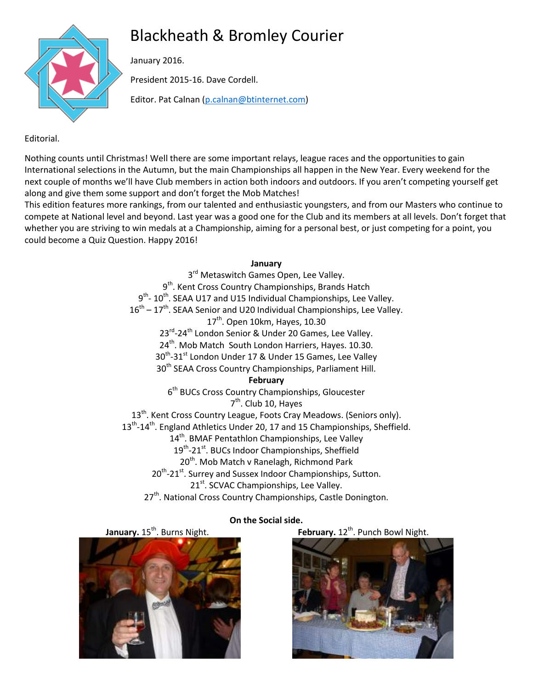# Blackheath & Bromley Courier



January 2016.

President 2015-16. Dave Cordell.

Editor. Pat Calnan [\(p.calnan@btinternet.com\)](mailto:p.calnan@btinternet.com)

# Editorial.

Nothing counts until Christmas! Well there are some important relays, league races and the opportunities to gain International selections in the Autumn, but the main Championships all happen in the New Year. Every weekend for the next couple of months we'll have Club members in action both indoors and outdoors. If you aren't competing yourself get along and give them some support and don't forget the Mob Matches!

This edition features more rankings, from our talented and enthusiastic youngsters, and from our Masters who continue to compete at National level and beyond. Last year was a good one for the Club and its members at all levels. Don't forget that whether you are striving to win medals at a Championship, aiming for a personal best, or just competing for a point, you could become a Quiz Question. Happy 2016!

# **January**

3<sup>rd</sup> Metaswitch Games Open, Lee Valley. 9<sup>th</sup>. Kent Cross Country Championships, Brands Hatch 9<sup>th</sup>- 10<sup>th</sup>. SEAA U17 and U15 Individual Championships, Lee Valley.  $16<sup>th</sup> - 17<sup>th</sup>$ . SEAA Senior and U20 Individual Championships, Lee Valley. 17<sup>th</sup>. Open 10km, Hayes, 10.30 23<sup>rd</sup>-24<sup>th</sup> London Senior & Under 20 Games, Lee Valley. 24<sup>th</sup>. Mob Match South London Harriers, Hayes. 10.30.  $30^{\text{th}}$ -31st London Under 17 & Under 15 Games, Lee Valley 30<sup>th</sup> SEAA Cross Country Championships, Parliament Hill. **February** 6<sup>th</sup> BUCs Cross Country Championships, Gloucester 7<sup>th</sup>. Club 10, Hayes 13<sup>th</sup>. Kent Cross Country League, Foots Cray Meadows. (Seniors only). 13<sup>th</sup>-14<sup>th</sup>. England Athletics Under 20, 17 and 15 Championships, Sheffield. 14<sup>th</sup>. BMAF Pentathlon Championships, Lee Valley 19<sup>th</sup>-21<sup>st</sup>. BUCs Indoor Championships, Sheffield 20<sup>th</sup>. Mob Match v Ranelagh, Richmond Park 20<sup>th</sup>-21<sup>st</sup>. Surrey and Sussex Indoor Championships, Sutton. 21<sup>st</sup>. SCVAC Championships, Lee Valley. 27<sup>th</sup>. National Cross Country Championships, Castle Donington.

 $\begin{array}{c} \hline \end{array}$ 

**January.** 15<sup>th</sup>. Burns Night. **February.** 12<sup>th</sup>. Punch Bowl Night.



# **On the Social side.**

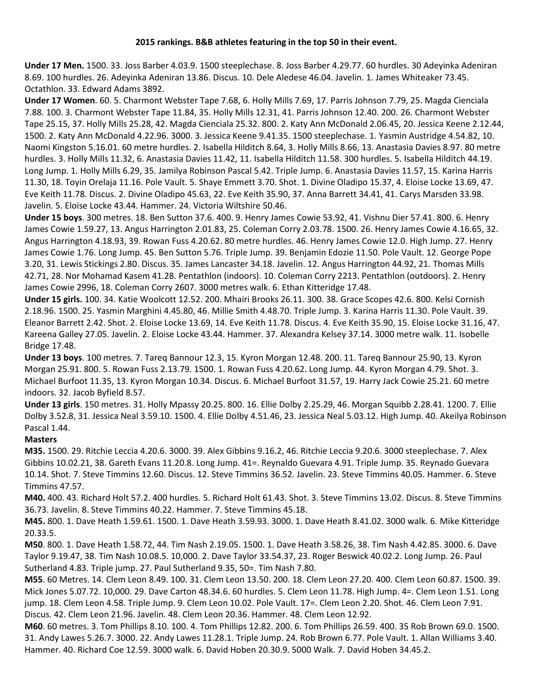#### **2015 rankings. B&B athletes featuring in the top 50 in their event.**

**Under 17 Men.** 1500. 33. Joss Barber 4.03.9. 1500 steeplechase. 8. Joss Barber 4.29.77. 60 hurdles. 30 Adeyinka Adeniran 8.69. 100 hurdles. 26. Adeyinka Adeniran 13.86. Discus. 10. Dele Aledese 46.04. Javelin. 1. James Whiteaker 73.45. Octathlon. 33. Edward Adams 3892.

**Under 17 Women**. 60. 5. Charmont Webster Tape 7.68, 6. Holly Mills 7.69, 17. Parris Johnson 7.79, 25. Magda Cienciala 7.88. 100. 3. Charmont Webster Tape 11.84, 35. Holly Mills 12.31, 41. Parris Johnson 12.40. 200. 26. Charmont Webster Tape 25.15, 37. Holly Mills 25.28, 42. Magda Cienciala 25.32. 800. 2. Katy Ann McDonald 2.06.45, 20. Jessica Keene 2.12.44, 1500. 2. Katy Ann McDonald 4.22.96. 3000. 3. Jessica Keene 9.41.35. 1500 steeplechase. 1. Yasmin Austridge 4.54.82, 10. Naomi Kingston 5.16.01. 60 metre hurdles. 2. Isabella Hilditch 8.64, 3. Holly Mills 8.66, 13. Anastasia Davies 8.97. 80 metre hurdles. 3. Holly Mills 11.32, 6. Anastasia Davies 11.42, 11. Isabella Hilditch 11.58. 300 hurdles. 5. Isabella Hilditch 44.19. Long Jump. 1. Holly Mills 6.29, 35. Jamilya Robinson Pascal 5.42. Triple Jump. 6. Anastasia Davies 11.57, 15. Karina Harris 11.30, 18. Toyin Orelaja 11.16. Pole Vault. 5. Shaye Emmett 3.70. Shot. 1. Divine Oladipo 15.37, 4. Eloise Locke 13.69, 47. Eve Keith 11.78. Discus. 2. Divine Oladipo 45.63, 22. Eve Keith 35.90, 37. Anna Barrett 34.41, 41. Carys Marsden 33.98. Javelin. 5. Eloise Locke 43.44. Hammer. 24. Victoria Wiltshire 50.46.

**Under 15 boys**. 300 metres. 18. Ben Sutton 37.6. 400. 9. Henry James Cowie 53.92, 41. Vishnu Dier 57.41. 800. 6. Henry James Cowie 1.59.27, 13. Angus Harrington 2.01.83, 25. Coleman Corry 2.03.78. 1500. 26. Henry James Cowie 4.16.65, 32. Angus Harrington 4.18.93, 39. Rowan Fuss 4.20.62. 80 metre hurdles. 46. Henry James Cowie 12.0. High Jump. 27. Henry James Cowie 1.76. Long Jump. 45. Ben Sutton 5.76. Triple Jump. 39. Benjamin Edozie 11.50. Pole Vault. 12. George Pope 3.20, 31. Lewis Stickings 2.80. Discus. 35. James Lancaster 34.18. Javelin. 12. Angus Harrington 44.92, 21. Thomas Mills 42.71, 28. Nor Mohamad Kasem 41.28. Pentathlon (indoors). 10. Coleman Corry 2213. Pentathlon (outdoors). 2. Henry James Cowie 2996, 18. Coleman Corry 2607. 3000 metres walk. 6. Ethan Kitteridge 17.48.

**Under 15 girls.** 100. 34. Katie Woolcott 12.52. 200. Mhairi Brooks 26.11. 300. 38. Grace Scopes 42.6. 800. Kelsi Cornish 2.18.96. 1500. 25. Yasmin Marghini 4.45.80, 46. Millie Smith 4.48.70. Triple Jump. 3. Karina Harris 11.30. Pole Vault. 39. Eleanor Barrett 2.42. Shot. 2. Eloise Locke 13.69, 14. Eve Keith 11.78. Discus. 4. Eve Keith 35.90, 15. Eloise Locke 31.16, 47. Kareena Galley 27.05. Javelin. 2. Eloise Locke 43.44. Hammer. 37. Alexandra Kelsey 37.14. 3000 metre walk. 11. Isobelle Bridge 17.48.

**Under 13 boys**. 100 metres. 7. Tareq Bannour 12.3, 15. Kyron Morgan 12.48. 200. 11. Tareq Bannour 25.90, 13. Kyron Morgan 25.91. 800. 5. Rowan Fuss 2.13.79. 1500. 1. Rowan Fuss 4.20.62. Long Jump. 44. Kyron Morgan 4.79. Shot. 3. Michael Burfoot 11.35, 13. Kyron Morgan 10.34. Discus. 6. Michael Burfoot 31.57, 19. Harry Jack Cowie 25.21. 60 metre indoors. 32. Jacob Byfield 8.57.

**Under 13 girls**. 150 metres. 31. Holly Mpassy 20.25. 800. 16. Ellie Dolby 2.25.29, 46. Morgan Squibb 2.28.41. 1200. 7. Ellie Dolby 3.52.8, 31. Jessica Neal 3.59.10. 1500. 4. Ellie Dolby 4.51.46, 23. Jessica Neal 5.03.12. High Jump. 40. Akeilya Robinson Pascal 1.44.

#### **Masters**

**M35.** 1500. 29. Ritchie Leccia 4.20.6. 3000. 39. Alex Gibbins 9.16.2, 46. Ritchie Leccia 9.20.6. 3000 steeplechase. 7. Alex Gibbins 10.02.21, 38. Gareth Evans 11.20.8. Long Jump. 41=. Reynaldo Guevara 4.91. Triple Jump. 35. Reynado Guevara 10.14. Shot. 7. Steve Timmins 12.60. Discus. 12. Steve Timmins 36.52. Javelin. 23. Steve Timmins 40.05. Hammer. 6. Steve Timmins 47.57.

**M40.** 400. 43. Richard Holt 57.2. 400 hurdles. 5. Richard Holt 61.43. Shot. 3. Steve Timmins 13.02. Discus. 8. Steve Timmins 36.73. Javelin. 8. Steve Timmins 40.22. Hammer. 7. Steve Timmins 45.18.

**M45.** 800. 1. Dave Heath 1.59.61. 1500. 1. Dave Heath 3.59.93. 3000. 1. Dave Heath 8.41.02. 3000 walk. 6. Mike Kitteridge 20.33.5.

**M50**. 800. 1. Dave Heath 1.58.72, 44. Tim Nash 2.19.05. 1500. 1. Dave Heath 3.58.26, 38. Tim Nash 4.42.85. 3000. 6. Dave Taylor 9.19.47, 38. Tim Nash 10.08.5. 10,000. 2. Dave Taylor 33.54.37, 23. Roger Beswick 40.02.2. Long Jump. 26. Paul Sutherland 4.83. Triple jump. 27. Paul Sutherland 9.35, 50=. Tim Nash 7.80.

**M55**. 60 Metres. 14. Clem Leon 8.49. 100. 31. Clem Leon 13.50. 200. 18. Clem Leon 27.20. 400. Clem Leon 60.87. 1500. 39. Mick Jones 5.07.72. 10,000. 29. Dave Carton 48.34.6. 60 hurdles. 5. Clem Leon 11.78. High Jump. 4=. Clem Leon 1.51. Long jump. 18. Clem Leon 4.58. Triple Jump. 9. Clem Leon 10.02. Pole Vault. 17=. Clem Leon 2.20. Shot. 46. Clem Leon 7.91. Discus. 42. Clem Leon 21.96. Javelin. 48. Clem Leon 20.36. Hammer. 48. Clem Leon 12.92.

**M60**. 60 metres. 3. Tom Phillips 8.10. 100. 4. Tom Phillips 12.82. 200. 6. Tom Phillips 26.59. 400. 35 Rob Brown 69.0. 1500. 31. Andy Lawes 5.26.7. 3000. 22. Andy Lawes 11.28.1. Triple Jump. 24. Rob Brown 6.77. Pole Vault. 1. Allan Williams 3.40. Hammer. 40. Richard Coe 12.59. 3000 walk. 6. David Hoben 20.30.9. 5000 Walk. 7. David Hoben 34.45.2.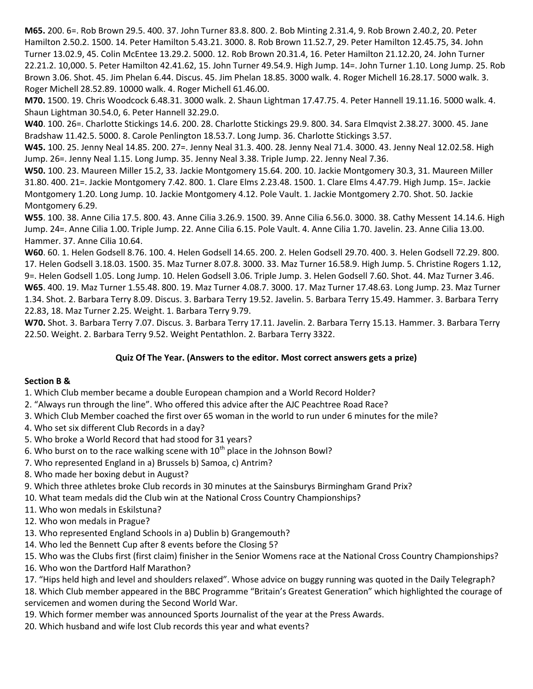**M65.** 200. 6=. Rob Brown 29.5. 400. 37. John Turner 83.8. 800. 2. Bob Minting 2.31.4, 9. Rob Brown 2.40.2, 20. Peter Hamilton 2.50.2. 1500. 14. Peter Hamilton 5.43.21. 3000. 8. Rob Brown 11.52.7, 29. Peter Hamilton 12.45.75, 34. John Turner 13.02.9, 45. Colin McEntee 13.29.2. 5000. 12. Rob Brown 20.31.4, 16. Peter Hamilton 21.12.20, 24. John Turner 22.21.2. 10,000. 5. Peter Hamilton 42.41.62, 15. John Turner 49.54.9. High Jump. 14=. John Turner 1.10. Long Jump. 25. Rob Brown 3.06. Shot. 45. Jim Phelan 6.44. Discus. 45. Jim Phelan 18.85. 3000 walk. 4. Roger Michell 16.28.17. 5000 walk. 3. Roger Michell 28.52.89. 10000 walk. 4. Roger Michell 61.46.00.

**M70.** 1500. 19. Chris Woodcock 6.48.31. 3000 walk. 2. Shaun Lightman 17.47.75. 4. Peter Hannell 19.11.16. 5000 walk. 4. Shaun Lightman 30.54.0, 6. Peter Hannell 32.29.0.

**W40**. 100. 26=. Charlotte Stickings 14.6. 200. 28. Charlotte Stickings 29.9. 800. 34. Sara Elmqvist 2.38.27. 3000. 45. Jane Bradshaw 11.42.5. 5000. 8. Carole Penlington 18.53.7. Long Jump. 36. Charlotte Stickings 3.57.

**W45.** 100. 25. Jenny Neal 14.85. 200. 27=. Jenny Neal 31.3. 400. 28. Jenny Neal 71.4. 3000. 43. Jenny Neal 12.02.58. High Jump. 26=. Jenny Neal 1.15. Long Jump. 35. Jenny Neal 3.38. Triple Jump. 22. Jenny Neal 7.36.

**W50.** 100. 23. Maureen Miller 15.2, 33. Jackie Montgomery 15.64. 200. 10. Jackie Montgomery 30.3, 31. Maureen Miller 31.80. 400. 21=. Jackie Montgomery 7.42. 800. 1. Clare Elms 2.23.48. 1500. 1. Clare Elms 4.47.79. High Jump. 15=. Jackie Montgomery 1.20. Long Jump. 10. Jackie Montgomery 4.12. Pole Vault. 1. Jackie Montgomery 2.70. Shot. 50. Jackie Montgomery 6.29.

**W55**. 100. 38. Anne Cilia 17.5. 800. 43. Anne Cilia 3.26.9. 1500. 39. Anne Cilia 6.56.0. 3000. 38. Cathy Messent 14.14.6. High Jump. 24=. Anne Cilia 1.00. Triple Jump. 22. Anne Cilia 6.15. Pole Vault. 4. Anne Cilia 1.70. Javelin. 23. Anne Cilia 13.00. Hammer. 37. Anne Cilia 10.64.

**W60**. 60. 1. Helen Godsell 8.76. 100. 4. Helen Godsell 14.65. 200. 2. Helen Godsell 29.70. 400. 3. Helen Godsell 72.29. 800. 17. Helen Godsell 3.18.03. 1500. 35. Maz Turner 8.07.8. 3000. 33. Maz Turner 16.58.9. High Jump. 5. Christine Rogers 1.12, 9=. Helen Godsell 1.05. Long Jump. 10. Helen Godsell 3.06. Triple Jump. 3. Helen Godsell 7.60. Shot. 44. Maz Turner 3.46. **W65**. 400. 19. Maz Turner 1.55.48. 800. 19. Maz Turner 4.08.7. 3000. 17. Maz Turner 17.48.63. Long Jump. 23. Maz Turner 1.34. Shot. 2. Barbara Terry 8.09. Discus. 3. Barbara Terry 19.52. Javelin. 5. Barbara Terry 15.49. Hammer. 3. Barbara Terry 22.83, 18. Maz Turner 2.25. Weight. 1. Barbara Terry 9.79.

**W70.** Shot. 3. Barbara Terry 7.07. Discus. 3. Barbara Terry 17.11. Javelin. 2. Barbara Terry 15.13. Hammer. 3. Barbara Terry 22.50. Weight. 2. Barbara Terry 9.52. Weight Pentathlon. 2. Barbara Terry 3322.

# **Quiz Of The Year. (Answers to the editor. Most correct answers gets a prize)**

#### **Section B &**

1. Which Club member became a double European champion and a World Record Holder?

- 2. "Always run through the line". Who offered this advice after the AJC Peachtree Road Race?
- 3. Which Club Member coached the first over 65 woman in the world to run under 6 minutes for the mile?
- 4. Who set six different Club Records in a day?
- 5. Who broke a World Record that had stood for 31 years?
- 6. Who burst on to the race walking scene with  $10^{th}$  place in the Johnson Bowl?
- 7. Who represented England in a) Brussels b) Samoa, c) Antrim?
- 8. Who made her boxing debut in August?
- 9. Which three athletes broke Club records in 30 minutes at the Sainsburys Birmingham Grand Prix?
- 10. What team medals did the Club win at the National Cross Country Championships?
- 11. Who won medals in Eskilstuna?
- 12. Who won medals in Prague?
- 13. Who represented England Schools in a) Dublin b) Grangemouth?
- 14. Who led the Bennett Cup after 8 events before the Closing 5?

15. Who was the Clubs first (first claim) finisher in the Senior Womens race at the National Cross Country Championships?

16. Who won the Dartford Half Marathon?

17. "Hips held high and level and shoulders relaxed". Whose advice on buggy running was quoted in the Daily Telegraph?

18. Which Club member appeared in the BBC Programme "Britain's Greatest Generation" which highlighted the courage of servicemen and women during the Second World War.

- 19. Which former member was announced Sports Journalist of the year at the Press Awards.
- 20. Which husband and wife lost Club records this year and what events?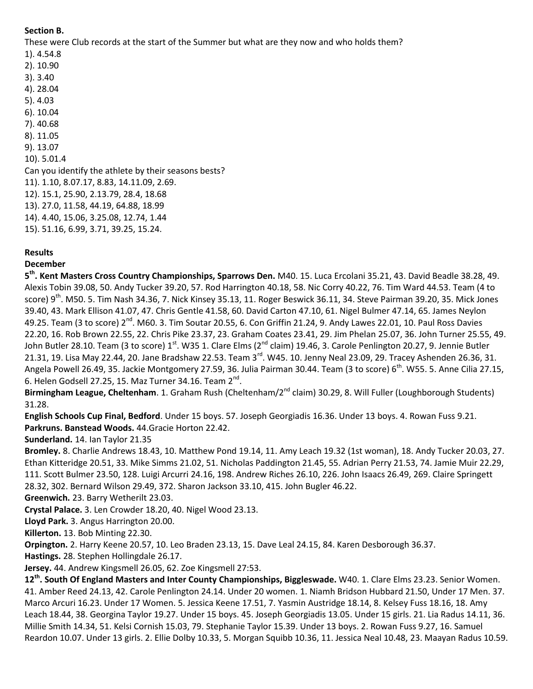# **Section B.**

These were Club records at the start of the Summer but what are they now and who holds them?

- 1). 4.54.8
- 2). 10.90 3). 3.40
- 4). 28.04
- 5). 4.03
- 6). 10.04
- 7). 40.68
- 8). 11.05
- 9). 13.07
- 10). 5.01.4

Can you identify the athlete by their seasons bests?

11). 1.10, 8.07.17, 8.83, 14.11.09, 2.69.

12). 15.1, 25.90, 2.13.79, 28.4, 18.68

- 13). 27.0, 11.58, 44.19, 64.88, 18.99
- 14). 4.40, 15.06, 3.25.08, 12.74, 1.44
- 15). 51.16, 6.99, 3.71, 39.25, 15.24.

# **Results**

# **December**

**5 th. Kent Masters Cross Country Championships, Sparrows Den.** M40. 15. Luca Ercolani 35.21, 43. David Beadle 38.28, 49. Alexis Tobin 39.08, 50. Andy Tucker 39.20, 57. Rod Harrington 40.18, 58. Nic Corry 40.22, 76. Tim Ward 44.53. Team (4 to score)  $9^{th}$ . M50. 5. Tim Nash 34.36, 7. Nick Kinsey 35.13, 11. Roger Beswick 36.11, 34. Steve Pairman 39.20, 35. Mick Jones 39.40, 43. Mark Ellison 41.07, 47. Chris Gentle 41.58, 60. David Carton 47.10, 61. Nigel Bulmer 47.14, 65. James Neylon 49.25. Team (3 to score) 2<sup>nd</sup>. M60. 3. Tim Soutar 20.55, 6. Con Griffin 21.24, 9. Andy Lawes 22.01, 10. Paul Ross Davies 22.20, 16. Rob Brown 22.55, 22. Chris Pike 23.37, 23. Graham Coates 23.41, 29. Jim Phelan 25.07, 36. John Turner 25.55, 49. John Butler 28.10. Team (3 to score) 1<sup>st</sup>. W35 1. Clare Elms (2<sup>nd</sup> claim) 19.46, 3. Carole Penlington 20.27, 9. Jennie Butler 21.31, 19. Lisa May 22.44, 20. Jane Bradshaw 22.53. Team 3<sup>rd</sup>. W45. 10. Jenny Neal 23.09, 29. Tracey Ashenden 26.36, 31. Angela Powell 26.49, 35. Jackie Montgomery 27.59, 36. Julia Pairman 30.44. Team (3 to score) 6<sup>th</sup>. W55. 5. Anne Cilia 27.15, 6. Helen Godsell 27.25, 15. Maz Turner 34.16. Team  $2^{nd}$ .

Birmingham League, Cheltenham. 1. Graham Rush (Cheltenham/2<sup>nd</sup> claim) 30.29, 8. Will Fuller (Loughborough Students) 31.28.

**English Schools Cup Final, Bedford**. Under 15 boys. 57. Joseph Georgiadis 16.36. Under 13 boys. 4. Rowan Fuss 9.21. **Parkruns. Banstead Woods.** 44.Gracie Horton 22.42.

# **Sunderland.** 14. Ian Taylor 21.35

**Bromley.** 8. Charlie Andrews 18.43, 10. Matthew Pond 19.14, 11. Amy Leach 19.32 (1st woman), 18. Andy Tucker 20.03, 27. Ethan Kitteridge 20.51, 33. Mike Simms 21.02, 51. Nicholas Paddington 21.45, 55. Adrian Perry 21.53, 74. Jamie Muir 22.29, 111. Scott Bulmer 23.50, 128. Luigi Arcurri 24.16, 198. Andrew Riches 26.10, 226. John Isaacs 26.49, 269. Claire Springett 28.32, 302. Bernard Wilson 29.49, 372. Sharon Jackson 33.10, 415. John Bugler 46.22.

**Greenwich.** 23. Barry Wetherilt 23.03.

**Crystal Palace.** 3. Len Crowder 18.20, 40. Nigel Wood 23.13.

**Lloyd Park.** 3. Angus Harrington 20.00.

**Killerton.** 13. Bob Minting 22.30.

**Orpington.** 2. Harry Keene 20.57, 10. Leo Braden 23.13, 15. Dave Leal 24.15, 84. Karen Desborough 36.37.

**Hastings.** 28. Stephen Hollingdale 26.17.

**Jersey.** 44. Andrew Kingsmell 26.05, 62. Zoe Kingsmell 27:53.

**12th . South Of England Masters and Inter County Championships, Biggleswade.** W40. 1. Clare Elms 23.23. Senior Women. 41. Amber Reed 24.13, 42. Carole Penlington 24.14. Under 20 women. 1. Niamh Bridson Hubbard 21.50, Under 17 Men. 37. Marco Arcuri 16.23. Under 17 Women. 5. Jessica Keene 17.51, 7. Yasmin Austridge 18.14, 8. Kelsey Fuss 18.16, 18. Amy Leach 18.44, 38. Georgina Taylor 19.27. Under 15 boys. 45. Joseph Georgiadis 13.05. Under 15 girls. 21. Lia Radus 14.11, 36. Millie Smith 14.34, 51. Kelsi Cornish 15.03, 79. Stephanie Taylor 15.39. Under 13 boys. 2. Rowan Fuss 9.27, 16. Samuel Reardon 10.07. Under 13 girls. 2. Ellie Dolby 10.33, 5. Morgan Squibb 10.36, 11. Jessica Neal 10.48, 23. Maayan Radus 10.59.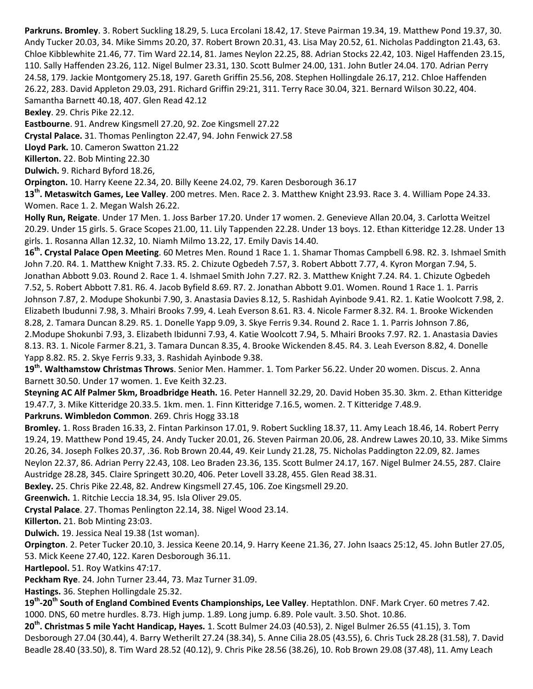**Parkruns. Bromley**. 3. Robert Suckling 18.29, 5. Luca Ercolani 18.42, 17. Steve Pairman 19.34, 19. Matthew Pond 19.37, 30. Andy Tucker 20.03, 34. Mike Simms 20.20, 37. Robert Brown 20.31, 43. Lisa May 20.52, 61. Nicholas Paddington 21.43, 63. Chloe Kibblewhite 21.46, 77. Tim Ward 22.14, 81. James Neylon 22.25, 88. Adrian Stocks 22.42, 103. Nigel Haffenden 23.15, 110. Sally Haffenden 23.26, 112. Nigel Bulmer 23.31, 130. Scott Bulmer 24.00, 131. John Butler 24.04. 170. Adrian Perry 24.58, 179. Jackie Montgomery 25.18, 197. Gareth Griffin 25.56, 208. Stephen Hollingdale 26.17, 212. Chloe Haffenden 26.22, 283. David Appleton 29.03, 291. Richard Griffin 29:21, 311. Terry Race 30.04, 321. Bernard Wilson 30.22, 404. Samantha Barnett 40.18, 407. Glen Read 42.12

**Bexley**. 29. Chris Pike 22.12.

**Eastbourne**. 91. Andrew Kingsmell 27.20, 92. Zoe Kingsmell 27.22

**Crystal Palace.** 31. Thomas Penlington 22.47, 94. John Fenwick 27.58

**Lloyd Park.** 10. Cameron Swatton 21.22

**Killerton.** 22. Bob Minting 22.30

**Dulwich.** 9. Richard Byford 18.26,

**Orpington.** 10. Harry Keene 22.34, 20. Billy Keene 24.02, 79. Karen Desborough 36.17

**13th. Metaswitch Games, Lee Valley**. 200 metres. Men. Race 2. 3. Matthew Knight 23.93. Race 3. 4. William Pope 24.33. Women. Race 1. 2. Megan Walsh 26.22.

**Holly Run, Reigate**. Under 17 Men. 1. Joss Barber 17.20. Under 17 women. 2. Genevieve Allan 20.04, 3. Carlotta Weitzel 20.29. Under 15 girls. 5. Grace Scopes 21.00, 11. Lily Tappenden 22.28. Under 13 boys. 12. Ethan Kitteridge 12.28. Under 13 girls. 1. Rosanna Allan 12.32, 10. Niamh Milmo 13.22, 17. Emily Davis 14.40.

**16th. Crystal Palace Open Meeting**. 60 Metres Men. Round 1 Race 1. 1. Shamar Thomas Campbell 6.98. R2. 3. Ishmael Smith John 7.20. R4. 1. Matthew Knight 7.33. R5. 2. Chizute Ogbedeh 7.57, 3. Robert Abbott 7.77, 4. Kyron Morgan 7.94, 5. Jonathan Abbott 9.03. Round 2. Race 1. 4. Ishmael Smith John 7.27. R2. 3. Matthew Knight 7.24. R4. 1. Chizute Ogbedeh 7.52, 5. Robert Abbott 7.81. R6. 4. Jacob Byfield 8.69. R7. 2. Jonathan Abbott 9.01. Women. Round 1 Race 1. 1. Parris Johnson 7.87, 2. Modupe Shokunbi 7.90, 3. Anastasia Davies 8.12, 5. Rashidah Ayinbode 9.41. R2. 1. Katie Woolcott 7.98, 2. Elizabeth Ibudunni 7.98, 3. Mhairi Brooks 7.99, 4. Leah Everson 8.61. R3. 4. Nicole Farmer 8.32. R4. 1. Brooke Wickenden 8.28, 2. Tamara Duncan 8.29. R5. 1. Donelle Yapp 9.09, 3. Skye Ferris 9.34. Round 2. Race 1. 1. Parris Johnson 7.86, 2.Modupe Shokunbi 7.93, 3. Elizabeth Ibidunni 7.93, 4. Katie Woolcott 7.94, 5. Mhairi Brooks 7.97. R2. 1. Anastasia Davies 8.13. R3. 1. Nicole Farmer 8.21, 3. Tamara Duncan 8.35, 4. Brooke Wickenden 8.45. R4. 3. Leah Everson 8.82, 4. Donelle Yapp 8.82. R5. 2. Skye Ferris 9.33, 3. Rashidah Ayinbode 9.38.

**19th . Walthamstow Christmas Throws**. Senior Men. Hammer. 1. Tom Parker 56.22. Under 20 women. Discus. 2. Anna Barnett 30.50. Under 17 women. 1. Eve Keith 32.23.

**Steyning AC Alf Palmer 5km, Broadbridge Heath.** 16. Peter Hannell 32.29, 20. David Hoben 35.30. 3km. 2. Ethan Kitteridge 19.47.7, 3. Mike Kitteridge 20.33.5. 1km. men. 1. Finn Kitteridge 7.16.5, women. 2. T Kitteridge 7.48.9.

**Parkruns. Wimbledon Common**. 269. Chris Hogg 33.18

**Bromley.** 1. Ross Braden 16.33, 2. Fintan Parkinson 17.01, 9. Robert Suckling 18.37, 11. Amy Leach 18.46, 14. Robert Perry 19.24, 19. Matthew Pond 19.45, 24. Andy Tucker 20.01, 26. Steven Pairman 20.06, 28. Andrew Lawes 20.10, 33. Mike Simms 20.26, 34. Joseph Folkes 20.37, .36. Rob Brown 20.44, 49. Keir Lundy 21.28, 75. Nicholas Paddington 22.09, 82. James Neylon 22.37, 86. Adrian Perry 22.43, 108. Leo Braden 23.36, 135. Scott Bulmer 24.17, 167. Nigel Bulmer 24.55, 287. Claire Austridge 28.28, 345. Claire Springett 30.20, 406. Peter Lovell 33.28, 455. Glen Read 38.31.

**Bexley.** 25. Chris Pike 22.48, 82. Andrew Kingsmell 27.45, 106. Zoe Kingsmell 29.20.

**Greenwich.** 1. Ritchie Leccia 18.34, 95. Isla Oliver 29.05.

**Crystal Palace**. 27. Thomas Penlington 22.14, 38. Nigel Wood 23.14.

**Killerton.** 21. Bob Minting 23:03.

**Dulwich.** 19. Jessica Neal 19.38 (1st woman).

**Orpington**. 2. Peter Tucker 20.10, 3. Jessica Keene 20.14, 9. Harry Keene 21.36, 27. John Isaacs 25:12, 45. John Butler 27.05, 53. Mick Keene 27.40, 122. Karen Desborough 36.11.

**Hartlepool.** 51. Roy Watkins 47:17.

**Peckham Rye**. 24. John Turner 23.44, 73. Maz Turner 31.09.

**Hastings.** 36. Stephen Hollingdale 25.32.

**19th -20th South of England Combined Events Championships, Lee Valley**. Heptathlon. DNF. Mark Cryer. 60 metres 7.42. 1000. DNS, 60 metre hurdles. 8.73. High jump. 1.89. Long jump. 6.89. Pole vault. 3.50. Shot. 10.86.

**20th . Christmas 5 mile Yacht Handicap, Hayes.** 1. Scott Bulmer 24.03 (40.53), 2. Nigel Bulmer 26.55 (41.15), 3. Tom Desborough 27.04 (30.44), 4. Barry Wetherilt 27.24 (38.34), 5. Anne Cilia 28.05 (43.55), 6. Chris Tuck 28.28 (31.58), 7. David Beadle 28.40 (33.50), 8. Tim Ward 28.52 (40.12), 9. Chris Pike 28.56 (38.26), 10. Rob Brown 29.08 (37.48), 11. Amy Leach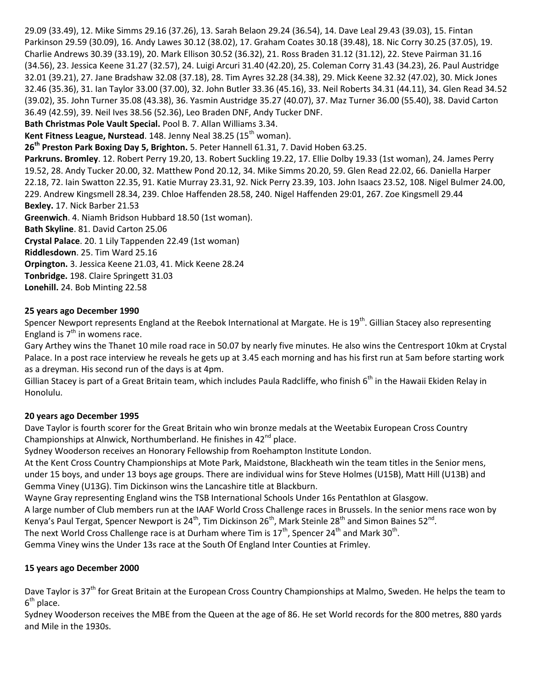29.09 (33.49), 12. Mike Simms 29.16 (37.26), 13. Sarah Belaon 29.24 (36.54), 14. Dave Leal 29.43 (39.03), 15. Fintan Parkinson 29.59 (30.09), 16. Andy Lawes 30.12 (38.02), 17. Graham Coates 30.18 (39.48), 18. Nic Corry 30.25 (37.05), 19. Charlie Andrews 30.39 (33.19), 20. Mark Ellison 30.52 (36.32), 21. Ross Braden 31.12 (31.12), 22. Steve Pairman 31.16 (34.56), 23. Jessica Keene 31.27 (32.57), 24. Luigi Arcuri 31.40 (42.20), 25. Coleman Corry 31.43 (34.23), 26. Paul Austridge 32.01 (39.21), 27. Jane Bradshaw 32.08 (37.18), 28. Tim Ayres 32.28 (34.38), 29. Mick Keene 32.32 (47.02), 30. Mick Jones 32.46 (35.36), 31. Ian Taylor 33.00 (37.00), 32. John Butler 33.36 (45.16), 33. Neil Roberts 34.31 (44.11), 34. Glen Read 34.52 (39.02), 35. John Turner 35.08 (43.38), 36. Yasmin Austridge 35.27 (40.07), 37. Maz Turner 36.00 (55.40), 38. David Carton 36.49 (42.59), 39. Neil Ives 38.56 (52.36), Leo Braden DNF, Andy Tucker DNF. **Bath Christmas Pole Vault Special.** Pool B. 7. Allan Williams 3.34. **Kent Fitness League, Nurstead.** 148. Jenny Neal 38.25 (15<sup>th</sup> woman). **26th Preston Park Boxing Day 5, Brighton.** 5. Peter Hannell 61.31, 7. David Hoben 63.25. **Parkruns. Bromley**. 12. Robert Perry 19.20, 13. Robert Suckling 19.22, 17. Ellie Dolby 19.33 (1st woman), 24. James Perry 19.52, 28. Andy Tucker 20.00, 32. Matthew Pond 20.12, 34. Mike Simms 20.20, 59. Glen Read 22.02, 66. Daniella Harper 22.18, 72. Iain Swatton 22.35, 91. Katie Murray 23.31, 92. Nick Perry 23.39, 103. John Isaacs 23.52, 108. Nigel Bulmer 24.00, 229. Andrew Kingsmell 28.34, 239. Chloe Haffenden 28.58, 240. Nigel Haffenden 29:01, 267. Zoe Kingsmell 29.44 **Bexley.** 17. Nick Barber 21.53 **Greenwich**. 4. Niamh Bridson Hubbard 18.50 (1st woman). **Bath Skyline**. 81. David Carton 25.06 **Crystal Palace**. 20. 1 Lily Tappenden 22.49 (1st woman) **Riddlesdown**. 25. Tim Ward 25.16 **Orpington.** 3. Jessica Keene 21.03, 41. Mick Keene 28.24 **Tonbridge.** 198. Claire Springett 31.03

**Lonehill.** 24. Bob Minting 22.58

### **25 years ago December 1990**

Spencer Newport represents England at the Reebok International at Margate. He is 19<sup>th</sup>. Gillian Stacey also representing England is  $7<sup>th</sup>$  in womens race.

Gary Arthey wins the Thanet 10 mile road race in 50.07 by nearly five minutes. He also wins the Centresport 10km at Crystal Palace. In a post race interview he reveals he gets up at 3.45 each morning and has his first run at 5am before starting work as a dreyman. His second run of the days is at 4pm.

Gillian Stacey is part of a Great Britain team, which includes Paula Radcliffe, who finish  $6<sup>th</sup>$  in the Hawaii Ekiden Relay in Honolulu.

#### **20 years ago December 1995**

Dave Taylor is fourth scorer for the Great Britain who win bronze medals at the Weetabix European Cross Country Championships at Alnwick, Northumberland. He finishes in  $42^{nd}$  place.

Sydney Wooderson receives an Honorary Fellowship from Roehampton Institute London.

At the Kent Cross Country Championships at Mote Park, Maidstone, Blackheath win the team titles in the Senior mens, under 15 boys, and under 13 boys age groups. There are individual wins for Steve Holmes (U15B), Matt Hill (U13B) and Gemma Viney (U13G). Tim Dickinson wins the Lancashire title at Blackburn.

Wayne Gray representing England wins the TSB International Schools Under 16s Pentathlon at Glasgow.

A large number of Club members run at the IAAF World Cross Challenge races in Brussels. In the senior mens race won by Kenya's Paul Tergat, Spencer Newport is 24<sup>th</sup>, Tim Dickinson 26<sup>th</sup>, Mark Steinle 28<sup>th</sup> and Simon Baines 52<sup>nd</sup>.

The next World Cross Challenge race is at Durham where Tim is 17<sup>th</sup>, Spencer 24<sup>th</sup> and Mark 30<sup>th</sup>.

Gemma Viney wins the Under 13s race at the South Of England Inter Counties at Frimley.

#### **15 years ago December 2000**

Dave Taylor is 37<sup>th</sup> for Great Britain at the European Cross Country Championships at Malmo, Sweden. He helps the team to 6<sup>th</sup> place.

Sydney Wooderson receives the MBE from the Queen at the age of 86. He set World records for the 800 metres, 880 yards and Mile in the 1930s.